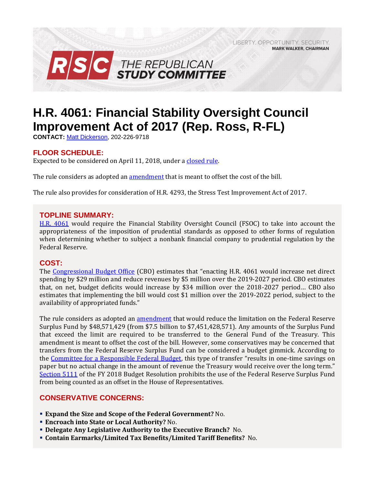LIBERTY, OPPORTUNITY, SECURITY, **MARK WALKER, CHAIRMAN** 



# **H.R. 4061: Financial Stability Oversight Council Improvement Act of 2017 (Rep. Ross, R-FL)**

**CONTACT:** [Matt Dickerson,](mailto:Matthew.Dickerson@mail.house.gov) 202-226-9718

## **FLOOR SCHEDULE:**

Expected to be considered on April 11, 2018, under [a closed rule.](https://rules.house.gov/bill/115/hr-4061)

The rule considers as adopted an [amendment](https://amendments-rules.house.gov/amendments/HR4061_FED_xml%20-%20Rules%20Amendment3918143706376.pdf) that is meant to offset the cost of the bill.

The rule also provides for consideration of H.R. 4293, the Stress Test Improvement Act of 2017.

#### **TOPLINE SUMMARY:**

[H.R. 4061](http://docs.house.gov/billsthisweek/20180312/BILLS-115HR4061-RCP115-64.pdf) would require the Financial Stability Oversight Council (FSOC) to take into account the appropriateness of the imposition of prudential standards as opposed to other forms of regulation when determining whether to subject a nonbank financial company to prudential regulation by the Federal Reserve.

## **COST:**

The [Congressional Budget Office](https://www.cbo.gov/system/files/115th-congress-2017-2018/costestimate/hr4061.pdf) (CBO) estimates that "enacting H.R. 4061 would increase net direct spending by \$29 million and reduce revenues by \$5 million over the 2019-2027 period. CBO estimates that, on net, budget deficits would increase by \$34 million over the 2018-2027 period… CBO also estimates that implementing the bill would cost \$1 million over the 2019-2022 period, subject to the availability of appropriated funds."

The rule considers as adopted an [amendment](https://amendments-rules.house.gov/amendments/HR4545_FED_xml3818151206126.pdf) that would reduce the limitation on the Federal Reserve Surplus Fund by \$48,571,429 (from \$7.5 billion to \$7,451,428,571). Any amounts of the Surplus Fund that exceed the limit are required to be transferred to the General Fund of the Treasury. This amendment is meant to offset the cost of the bill. However, some conservatives may be concerned that transfers from the Federal Reserve Surplus Fund can be considered a budget gimmick. According to the [Committee for a Responsible Federal Budget,](http://www.crfb.org/blogs/federal-reserve-budget-gimmick-house-transportation-bill) this type of transfer "results in one-time savings on paper but no actual change in the amount of revenue the Treasury would receive over the long term." [Section 5111](https://www.congress.gov/115/bills/hconres71/BILLS-115hconres71enr.pdf#page=45) of the FY 2018 Budget Resolution prohibits the use of the Federal Reserve Surplus Fund from being counted as an offset in the House of Representatives.

# **CONSERVATIVE CONCERNS:**

- **Expand the Size and Scope of the Federal Government?** No.
- **Encroach into State or Local Authority?** No.
- **Delegate Any Legislative Authority to the Executive Branch?** No.
- **Contain Earmarks/Limited Tax Benefits/Limited Tariff Benefits?** No.